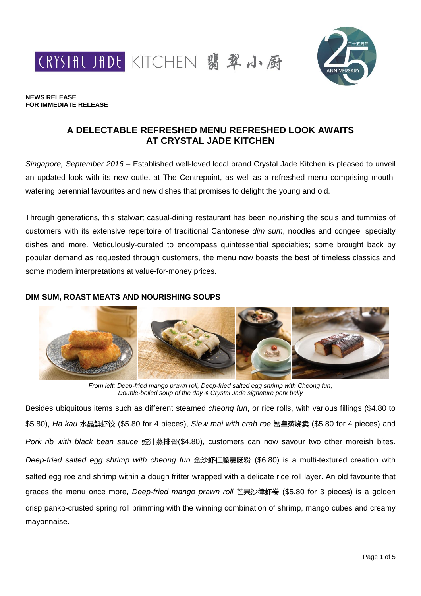CRYSTAL JADE KITCHEN 翡翠小厨



#### **NEWS RELEASE FOR IMMEDIATE RELEASE**

# **A DELECTABLE REFRESHED MENU REFRESHED LOOK AWAITS AT CRYSTAL JADE KITCHEN**

*Singapore, September 2016* – Established well-loved local brand Crystal Jade Kitchen is pleased to unveil an updated look with its new outlet at The Centrepoint, as well as a refreshed menu comprising mouthwatering perennial favourites and new dishes that promises to delight the young and old.

Through generations, this stalwart casual-dining restaurant has been nourishing the souls and tummies of customers with its extensive repertoire of traditional Cantonese *dim sum*, noodles and congee, specialty dishes and more. Meticulously-curated to encompass quintessential specialties; some brought back by popular demand as requested through customers, the menu now boasts the best of timeless classics and some modern interpretations at value-for-money prices.

# **DIM SUM, ROAST MEATS AND NOURISHING SOUPS**



*From left: Deep-fried mango prawn roll, Deep-fried salted egg shrimp with Cheong fun, Double-boiled soup of the day & Crystal Jade signature pork belly*

Besides ubiquitous items such as different steamed *cheong fun*, or rice rolls, with various fillings (\$4.80 to \$5.80), *Ha kau* 水晶鲜虾饺 (\$5.80 for 4 pieces), *Siew mai with crab roe* 蟹皇蒸烧卖 (\$5.80 for 4 pieces) and *Pork rib with black bean sauce* 豉汁蒸排骨(\$4.80), customers can now savour two other moreish bites. *Deep-fried salted egg shrimp with cheong fun* 金沙虾仁脆裹肠粉 (\$6.80) is a multi-textured creation with salted egg roe and shrimp within a dough fritter wrapped with a delicate rice roll layer. An old favourite that graces the menu once more, *Deep-fried mango prawn roll* 芒果沙律虾卷 (\$5.80 for 3 pieces) is a golden crisp panko-crusted spring roll brimming with the winning combination of shrimp, mango cubes and creamy mayonnaise.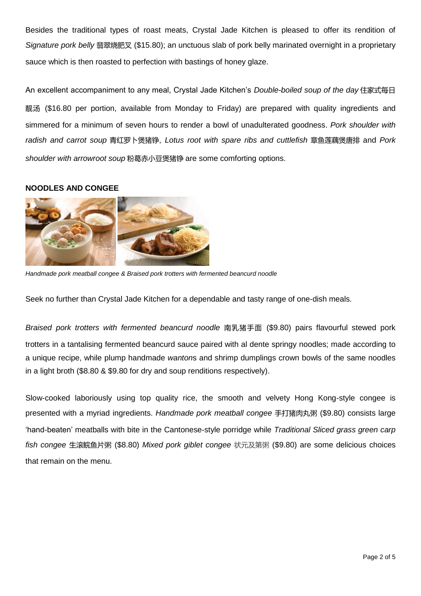Besides the traditional types of roast meats, Crystal Jade Kitchen is pleased to offer its rendition of *Signature pork belly* 翡翠烧肥叉 (\$15.80); an unctuous slab of pork belly marinated overnight in a proprietary sauce which is then roasted to perfection with bastings of honey glaze.

An excellent accompaniment to any meal, Crystal Jade Kitchen's *Double-boiled soup of the day* 住家式每日 靓汤 (\$16.80 per portion, available from Monday to Friday) are prepared with quality ingredients and simmered for a minimum of seven hours to render a bowl of unadulterated goodness. *Pork shoulder with radish and carrot soup* 青红罗卜煲猪铮, *Lotus root with spare ribs and cuttlefish* 章鱼莲藕煲唐排 and *Pork shoulder with arrowroot soup* 粉葛赤小豆煲猪铮 are some comforting options.

## **NOODLES AND CONGEE**



*Handmade pork meatball congee & Braised pork trotters with fermented beancurd noodle*

Seek no further than Crystal Jade Kitchen for a dependable and tasty range of one-dish meals.

*Braised pork trotters with fermented beancurd noodle* 南乳猪手面 (\$9.80) pairs flavourful stewed pork trotters in a tantalising fermented beancurd sauce paired with al dente springy noodles; made according to a unique recipe, while plump handmade *wanton*s and shrimp dumplings crown bowls of the same noodles in a light broth (\$8.80 & \$9.80 for dry and soup renditions respectively).

Slow-cooked laboriously using top quality rice, the smooth and velvety Hong Kong-style congee is presented with a myriad ingredients. *Handmade pork meatball congee* 手打猪肉丸粥 (\$9.80) consists large 'hand-beaten' meatballs with bite in the Cantonese-style porridge while *Traditional Sliced grass green carp fish congee* 生滚鲩鱼片粥 (\$8.80) *Mixed pork giblet congee* 状元及第粥 (\$9.80) are some delicious choices that remain on the menu.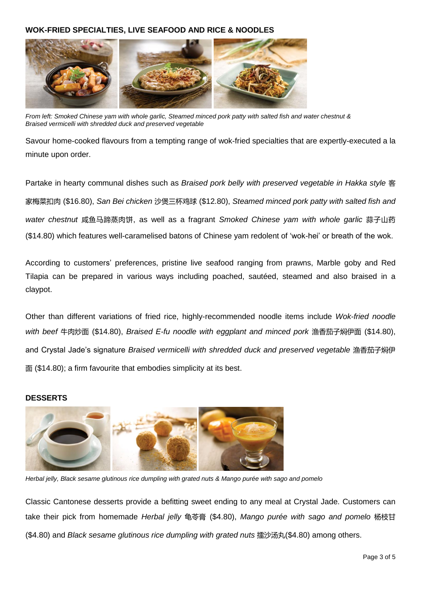# **WOK-FRIED SPECIALTIES, LIVE SEAFOOD AND RICE & NOODLES**



*From left: Smoked Chinese yam with whole garlic, Steamed minced pork patty with salted fish and water chestnut & Braised vermicelli with shredded duck and preserved vegetable*

Savour home-cooked flavours from a tempting range of wok-fried specialties that are expertly-executed a la minute upon order.

Partake in hearty communal dishes such as *Braised pork belly with preserved vegetable in Hakka style* 客 家梅菜扣肉 (\$16.80), *San Bei chicken* 沙煲三杯鸡球 (\$12.80), *Steamed minced pork patty with salted fish and water chestnut* 咸鱼马蹄蒸肉饼, as well as a fragrant *Smoked Chinese yam with whole garlic* 蒜子山药 (\$14.80) which features well-caramelised batons of Chinese yam redolent of 'wok-hei' or breath of the wok.

According to customers' preferences, pristine live seafood ranging from prawns, Marble goby and Red Tilapia can be prepared in various ways including poached, sautéed, steamed and also braised in a claypot.

Other than different variations of fried rice, highly-recommended noodle items include *Wok-fried noodle with beef* 牛肉炒面 (\$14.80), *Braised E-fu noodle with eggplant and minced pork* 渔香茄子焖伊面 (\$14.80), and Crystal Jade's signature *Braised vermicelli with shredded duck and preserved vegetable* 渔香茄子焖伊 面 (\$14.80); a firm favourite that embodies simplicity at its best.

#### **DESSERTS**



*Herbal jelly, Black sesame glutinous rice dumpling with grated nuts & Mango purée with sago and pomelo*

Classic Cantonese desserts provide a befitting sweet ending to any meal at Crystal Jade. Customers can take their pick from homemade *Herbal jelly* 龟苓膏 (\$4.80), *Mango purée with sago and pomelo* 杨枝甘 (\$4.80) and *Black sesame glutinous rice dumpling with grated nuts* 擂沙汤丸(\$4.80) among others.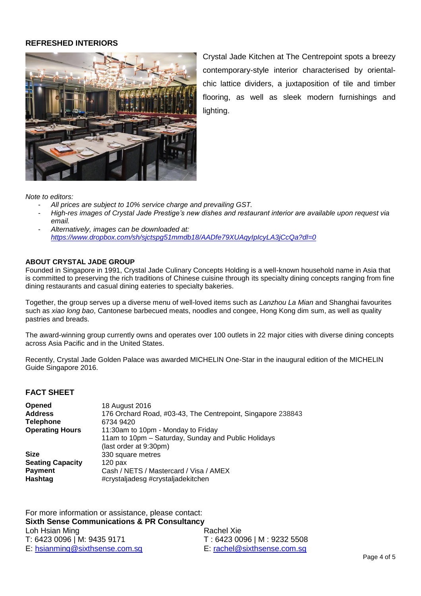#### **REFRESHED INTERIORS**



Crystal Jade Kitchen at The Centrepoint spots a breezy contemporary-style interior characterised by orientalchic lattice dividers, a juxtaposition of tile and timber flooring, as well as sleek modern furnishings and lighting.

*Note to editors:* 

- *All prices are subject to 10% service charge and prevailing GST.*
- *High-res images of Crystal Jade Prestige's new dishes and restaurant interior are available upon request via email.*
- *Alternatively, images can be downloaded at: <https://www.dropbox.com/sh/sjctspg51mmdb18/AADfe79XUAqyIpIcyLA3jCcQa?dl=0>*

#### **ABOUT CRYSTAL JADE GROUP**

Founded in Singapore in 1991, Crystal Jade Culinary Concepts Holding is a well-known household name in Asia that is committed to preserving the rich traditions of Chinese cuisine through its specialty dining concepts ranging from fine dining restaurants and casual dining eateries to specialty bakeries.

Together, the group serves up a diverse menu of well-loved items such as *Lanzhou La Mian* and Shanghai favourites such as *xiao long bao*, Cantonese barbecued meats, noodles and congee, Hong Kong dim sum, as well as quality pastries and breads.

The award-winning group currently owns and operates over 100 outlets in 22 major cities with diverse dining concepts across Asia Pacific and in the United States.

Recently, Crystal Jade Golden Palace was awarded MICHELIN One-Star in the inaugural edition of the MICHELIN Guide Singapore 2016.

## **FACT SHEET**

| <b>Opened</b>           | 18 August 2016                                              |
|-------------------------|-------------------------------------------------------------|
| <b>Address</b>          | 176 Orchard Road, #03-43, The Centrepoint, Singapore 238843 |
| <b>Telephone</b>        | 6734 9420                                                   |
| <b>Operating Hours</b>  | 11:30am to 10pm - Monday to Friday                          |
|                         | 11am to 10pm - Saturday, Sunday and Public Holidays         |
|                         | (last order at 9:30pm)                                      |
| <b>Size</b>             | 330 square metres                                           |
| <b>Seating Capacity</b> | $120$ pax                                                   |
| <b>Payment</b>          | Cash / NETS / Mastercard / Visa / AMEX                      |
| Hashtag                 | #crystaljadesg #crystaljadekitchen                          |

| For more information or assistance, please contact:    |                             |  |  |
|--------------------------------------------------------|-----------------------------|--|--|
| <b>Sixth Sense Communications &amp; PR Consultancy</b> |                             |  |  |
| Loh Hsian Ming                                         | Rachel Xie                  |  |  |
| T: 6423 0096   M: 9435 9171                            | T: 6423 0096   M: 9232 5508 |  |  |
| E: hsianming@sixthsense.com.sg                         | E: rachel@sixthsense.com.sg |  |  |